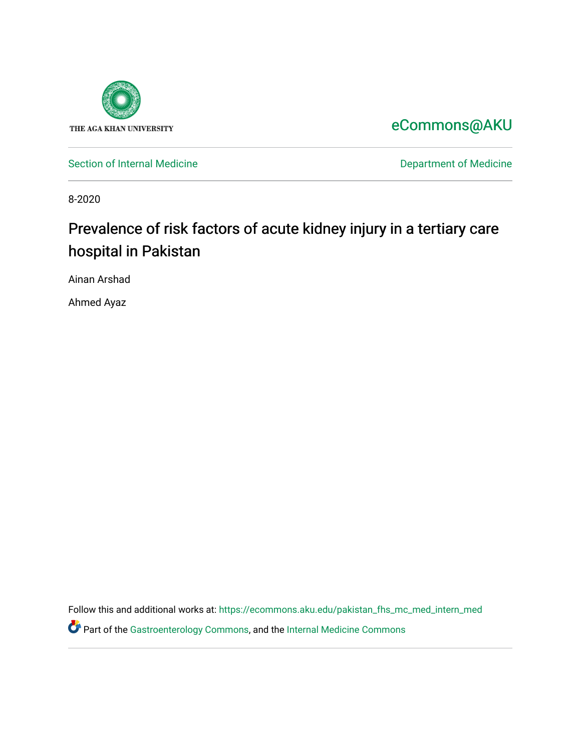

[eCommons@AKU](https://ecommons.aku.edu/) 

[Section of Internal Medicine](https://ecommons.aku.edu/pakistan_fhs_mc_med_intern_med) **Department of Medicine** Department of Medicine

8-2020

# Prevalence of risk factors of acute kidney injury in a tertiary care hospital in Pakistan

Ainan Arshad

Ahmed Ayaz

Follow this and additional works at: [https://ecommons.aku.edu/pakistan\\_fhs\\_mc\\_med\\_intern\\_med](https://ecommons.aku.edu/pakistan_fhs_mc_med_intern_med?utm_source=ecommons.aku.edu%2Fpakistan_fhs_mc_med_intern_med%2F169&utm_medium=PDF&utm_campaign=PDFCoverPages)  Part of the [Gastroenterology Commons](http://network.bepress.com/hgg/discipline/687?utm_source=ecommons.aku.edu%2Fpakistan_fhs_mc_med_intern_med%2F169&utm_medium=PDF&utm_campaign=PDFCoverPages), and the [Internal Medicine Commons](http://network.bepress.com/hgg/discipline/1356?utm_source=ecommons.aku.edu%2Fpakistan_fhs_mc_med_intern_med%2F169&utm_medium=PDF&utm_campaign=PDFCoverPages)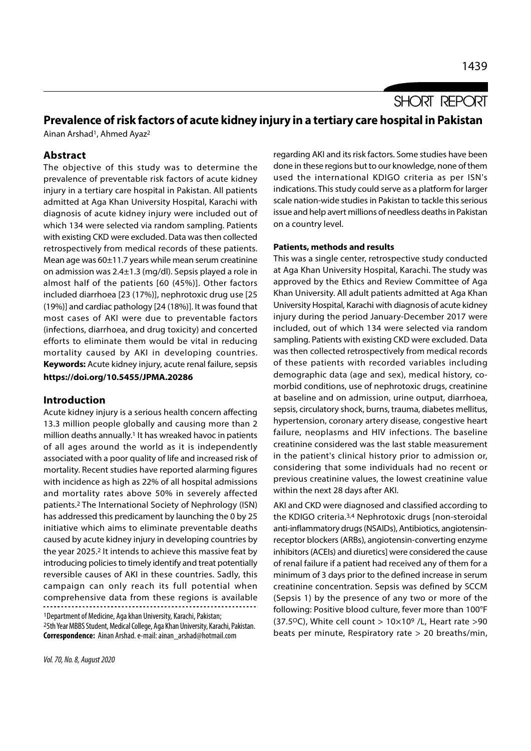**SHORT REPORT** 

# Prevalence of risk factors of acute kidney injury in a tertiary care hospital in Pakistan

Ainan Arshad<sup>1</sup>, Ahmed Ayaz<sup>2</sup>

## Abstract

The objective of this study was to determine the prevalence of preventable risk factors of acute kidney injury in a tertiary care hospital in Pakistan. All patients admitted at Aga Khan University Hospital, Karachi with diagnosis of acute kidney injury were included out of which 134 were selected via random sampling. Patients with existing CKD were excluded. Data was then collected retrospectively from medical records of these patients. Mean age was 60±11.7 years while mean serum creatinine on admission was 2.4±1.3 (mg/dl). Sepsis played a role in almost half of the patients [60 (45%)]. Other factors included diarrhoea [23 (17%)], nephrotoxic drug use [25 (19%)] and cardiac pathology [24 (18%)]. It was found that most cases of AKI were due to preventable factors (infections, diarrhoea, and drug toxicity) and concerted efforts to eliminate them would be vital in reducing mortality caused by AKI in developing countries. Keywords: Acute kidney injury, acute renal failure, sepsis https://doi.org/10.5455/JPMA.20286

### Introduction

Acute kidney injury is a serious health concern affecting 13.3 million people globally and causing more than 2 million deaths annually.1 It has wreaked havoc in patients of all ages around the world as it is independently associated with a poor quality of life and increased risk of mortality. Recent studies have reported alarming figures with incidence as high as 22% of all hospital admissions and mortality rates above 50% in severely affected patients.2 The International Society of Nephrology (ISN) has addressed this predicament by launching the 0 by 25 initiative which aims to eliminate preventable deaths caused by acute kidney injury in developing countries by the year 2025.2 It intends to achieve this massive feat by introducing policies to timely identify and treat potentially reversible causes of AKI in these countries. Sadly, this campaign can only reach its full potential when comprehensive data from these regions is available

<sup>1</sup>Department of Medicine, Aga khan University, Karachi, Pakistan; <sup>2</sup>5th Year MBBS Student, Medical College, Aga Khan University, Karachi, Pakistan. Correspondence: Ainan Arshad. e-mail: ainan\_arshad@hotmail.com

regarding AKI and its risk factors. Some studies have been done in these regions but to our knowledge, none of them used the international KDIGO criteria as per ISN's indications. This study could serve as a platform for larger scale nation-wide studies in Pakistan to tackle this serious issue and help avert millions of needless deaths in Pakistan on a country level.

#### Patients, methods and results

This was a single center, retrospective study conducted at Aga Khan University Hospital, Karachi. The study was approved by the Ethics and Review Committee of Aga Khan University. All adult patients admitted at Aga Khan University Hospital, Karachi with diagnosis of acute kidney injury during the period January-December 2017 were included, out of which 134 were selected via random sampling. Patients with existing CKD were excluded. Data was then collected retrospectively from medical records of these patients with recorded variables including demographic data (age and sex), medical history, comorbid conditions, use of nephrotoxic drugs, creatinine at baseline and on admission, urine output, diarrhoea, sepsis, circulatory shock, burns, trauma, diabetes mellitus, hypertension, coronary artery disease, congestive heart failure, neoplasms and HIV infections. The baseline creatinine considered was the last stable measurement in the patient's clinical history prior to admission or, considering that some individuals had no recent or previous creatinine values, the lowest creatinine value within the next 28 days after AKI.

AKI and CKD were diagnosed and classified according to the KDIGO criteria.3,4 Nephrotoxic drugs [non-steroidal anti-inflammatory drugs (NSAIDs), Antibiotics, angiotensinreceptor blockers (ARBs), angiotensin-converting enzyme inhibitors (ACEIs) and diuretics] were considered the cause of renal failure if a patient had received any of them for a minimum of 3 days prior to the defined increase in serum creatinine concentration. Sepsis was defined by SCCM (Sepsis 1) by the presence of any two or more of the following: Positive blood culture, fever more than 100°F (37.5°C), White cell count >  $10\times10^9$  /L, Heart rate >90 beats per minute, Respiratory rate > 20 breaths/min,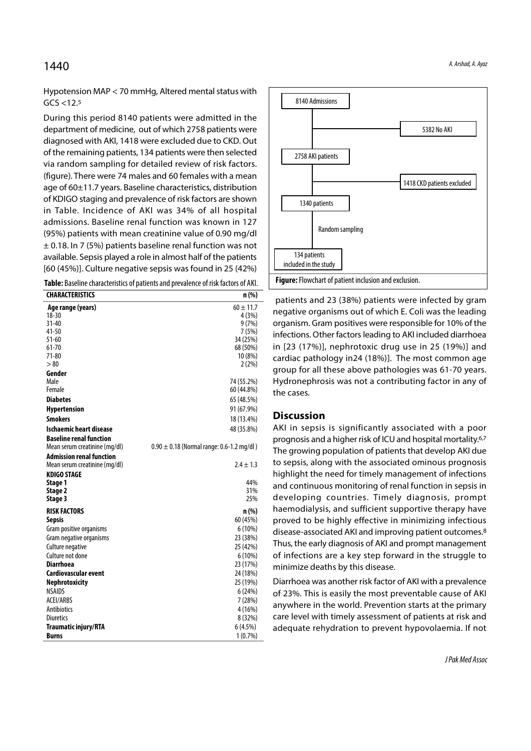# $1440$  A. Arshad, A. Ayaz

Hypotension MAP < 70 mmHg, Altered mental status with  $GCS < 12.5$ 

During this period 8140 patients were admitted in the department of medicine, out of which 2758 patients were diagnosed with AKI, 1418 were excluded due to CKD. Out of the remaining patients, 134 patients were then selected via random sampling for detailed review of risk factors. (figure). There were 74 males and 60 females with a mean age of 60±11.7 years. Baseline characteristics, distribution of KDIGO staging and prevalence of risk factors are shown in Table. Incidence of AKI was 34% of all hospital admissions. Baseline renal function was known in 127 (95%) patients with mean creatinine value of 0.90 mg/dl ± 0.18. In 7 (5%) patients baseline renal function was not available. Sepsis played a role in almost half of the patients [60 (45%)]. Culture negative sepsis was found in 25 (42%)

| <b>CHARACTERISTICS</b>          | n (%)                                         |
|---------------------------------|-----------------------------------------------|
| Age range (years)               | $60 \pm 11.7$                                 |
| $18 - 30$                       | 4(3%)                                         |
| $31 - 40$                       | 9(7%)                                         |
| 41-50                           | 7 (5%)                                        |
| $51 - 60$                       | 34 (25%)                                      |
| $61 - 70$<br>71-80              | 68 (50%)<br>10(8%)                            |
| >80                             | 2(2%)                                         |
| Gender                          |                                               |
| Male                            | 74 (55.2%)                                    |
| Female                          | 60 (44.8%)                                    |
| <b>Diabetes</b>                 | 65 (48.5%)                                    |
| Hypertension                    | 91 (67.9%)                                    |
| <b>Smokers</b>                  | 18 (13.4%)                                    |
| <b>Ischaemic heart disease</b>  | 48 (35.8%)                                    |
| <b>Baseline renal function</b>  |                                               |
| Mean serum creatinine (mg/dl)   | $0.90 \pm 0.18$ (Normal range: 0.6-1.2 mg/dl) |
| <b>Admission renal function</b> |                                               |
| Mean serum creatinine (mg/dl)   | $2.4 \pm 1.3$                                 |
| <b>KDIGO STAGE</b>              |                                               |
| Stage 1                         | 44%                                           |
| Stage 2                         | 31%<br>25%                                    |
| Stage 3                         |                                               |
| <b>RISK FACTORS</b>             | n (%)                                         |
| <b>Sepsis</b>                   | 60 (45%)                                      |
| Gram positive organisms         | 6(10%)                                        |
| Gram negative organisms         | 23 (38%)                                      |
| Culture negative                | 25 (42%)                                      |
| Culture not done                | 6 (10%)                                       |
| <b>Diarrhoea</b>                | 23 (17%)                                      |
| Cardiovascular event            | 24 (18%)                                      |
| Nephrotoxicity                  | 25 (19%)                                      |
| <b>NSAIDS</b>                   | 6(24%)                                        |
| <b>ACEI/ARBS</b>                | 7(28%)                                        |
| <b>Antibiotics</b>              | 4 (16%)                                       |
| <b>Diuretics</b>                | 8 (32%)                                       |
| <b>Traumatic injury/RTA</b>     | 6(4.5%)                                       |
| <b>Burns</b>                    | 1(0.7%)                                       |



 patients and 23 (38%) patients were infected by gram negative organisms out of which E. Coli was the leading organism. Gram positives were responsible for 10% of the infections. Other factors leading to AKI included diarrhoea in [23 (17%)], nephrotoxic drug use in 25 (19%)] and cardiac pathology in24 (18%)]. The most common age group for all these above pathologies was 61-70 years. Hydronephrosis was not a contributing factor in any of the cases.

#### **Discussion**

AKI in sepsis is significantly associated with a poor prognosis and a higher risk of ICU and hospital mortality.6,7 The growing population of patients that develop AKI due to sepsis, along with the associated ominous prognosis highlight the need for timely management of infections and continuous monitoring of renal function in sepsis in developing countries. Timely diagnosis, prompt haemodialysis, and sufficient supportive therapy have proved to be highly effective in minimizing infectious disease-associated AKI and improving patient outcomes.8 Thus, the early diagnosis of AKI and prompt management of infections are a key step forward in the struggle to minimize deaths by this disease.

Diarrhoea was another risk factor of AKI with a prevalence of 23%. This is easily the most preventable cause of AKI anywhere in the world. Prevention starts at the primary care level with timely assessment of patients at risk and adequate rehydration to prevent hypovolaemia. If not